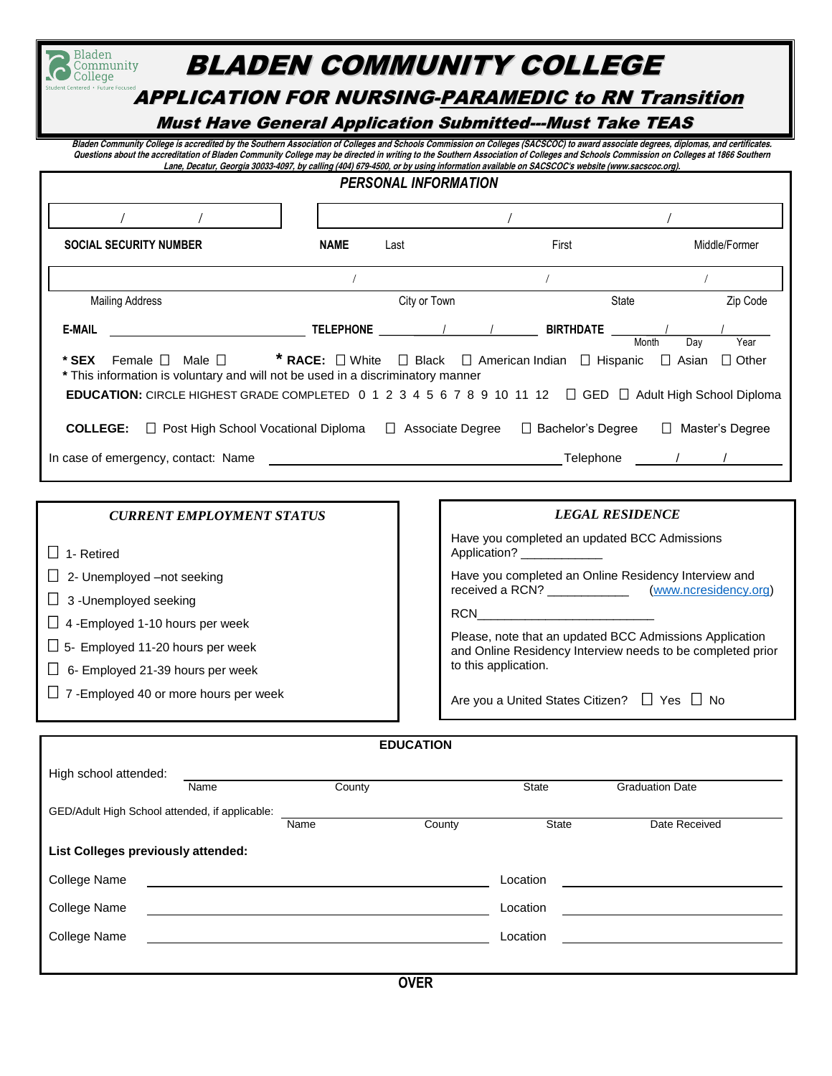| Bladen<br>Community<br>Colleae                                                                                                                                                                                                                                                                                                                                                                                                                                                                                         |                         | BLADEN COMMUNITY COLLEGE                                        |                      |  |  |  |  |
|------------------------------------------------------------------------------------------------------------------------------------------------------------------------------------------------------------------------------------------------------------------------------------------------------------------------------------------------------------------------------------------------------------------------------------------------------------------------------------------------------------------------|-------------------------|-----------------------------------------------------------------|----------------------|--|--|--|--|
| Centered · Future Focused<br><b>APPLICATION FOR NURSING-PARAMEDIC to RN Transition</b>                                                                                                                                                                                                                                                                                                                                                                                                                                 |                         |                                                                 |                      |  |  |  |  |
|                                                                                                                                                                                                                                                                                                                                                                                                                                                                                                                        |                         | <b>Must Have General Application Submitted---Must Take TEAS</b> |                      |  |  |  |  |
| Bladen Community College is accredited by the Southern Association of Colleges and Schools Commission on Colleges (SACSCOC) to award associate degrees, diplomas, and certificates.<br>Questions about the accreditation of Bladen Community College may be directed in writing to the Southern Association of Colleges and Schools Commission on Colleges at 1866 Southern<br>Lane, Decatur, Georgia 30033-4097, by calling (404) 679-4500, or by using information available on SACSCOC's website (www.sacscoc.org). |                         |                                                                 |                      |  |  |  |  |
| <b>PERSONAL INFORMATION</b>                                                                                                                                                                                                                                                                                                                                                                                                                                                                                            |                         |                                                                 |                      |  |  |  |  |
|                                                                                                                                                                                                                                                                                                                                                                                                                                                                                                                        |                         |                                                                 |                      |  |  |  |  |
| <b>SOCIAL SECURITY NUMBER</b>                                                                                                                                                                                                                                                                                                                                                                                                                                                                                          | <b>NAME</b><br>Last     | First                                                           | Middle/Former        |  |  |  |  |
|                                                                                                                                                                                                                                                                                                                                                                                                                                                                                                                        |                         |                                                                 |                      |  |  |  |  |
| <b>Mailing Address</b>                                                                                                                                                                                                                                                                                                                                                                                                                                                                                                 | City or Town            | State                                                           | Zip Code             |  |  |  |  |
| <b>E-MAIL</b>                                                                                                                                                                                                                                                                                                                                                                                                                                                                                                          | <b>TELEPHONE</b>        | <b>BIRTHDATE</b>                                                | Year<br>Month<br>Dav |  |  |  |  |
| <b>* RACE:</b> $\Box$ White $\Box$ Black $\Box$ American Indian<br>Female $\square$ Male $\square$<br>$\Box$ Hispanic<br>$\Box$ Other<br>* SEX<br>$\Box$ Asian<br>* This information is voluntary and will not be used in a discriminatory manner                                                                                                                                                                                                                                                                      |                         |                                                                 |                      |  |  |  |  |
| EDUCATION: CIRCLE HIGHEST GRADE COMPLETED 0 1 2 3 4 5 6 7 8 9 10 11 12 □ GED □ Adult High School Diploma                                                                                                                                                                                                                                                                                                                                                                                                               |                         |                                                                 |                      |  |  |  |  |
| <b>COLLEGE:</b><br>$\Box$ Post High School Vocational Diploma                                                                                                                                                                                                                                                                                                                                                                                                                                                          | $\Box$ Associate Degree | $\Box$ Bachelor's Degree                                        | Master's Degree      |  |  |  |  |
| In case of emergency, contact: Name                                                                                                                                                                                                                                                                                                                                                                                                                                                                                    |                         | Telephone                                                       |                      |  |  |  |  |

| <b>CURRENT EMPLOYMENT STATUS</b>              | <b>LEGAL RESIDENCE</b>                                                                                                |
|-----------------------------------------------|-----------------------------------------------------------------------------------------------------------------------|
| 1- Retired                                    | Have you completed an updated BCC Admissions<br>Application? _                                                        |
| $\Box$ 2- Unemployed –not seeking             | Have you completed an Online Residency Interview and                                                                  |
| $\Box$ 3 -Unemployed seeking                  |                                                                                                                       |
| $\Box$ 4 - Employed 1-10 hours per week       | <b>RCN</b>                                                                                                            |
| $\Box$ 5- Employed 11-20 hours per week       | Please, note that an updated BCC Admissions Application<br>and Online Residency Interview needs to be completed prior |
| 6- Employed 21-39 hours per week              | to this application.                                                                                                  |
| $\Box$ 7 - Employed 40 or more hours per week | Are you a United States Citizen? $\Box$ Yes $\Box$ No                                                                 |

| <b>EDUCATION</b>                               |      |        |        |              |                        |  |
|------------------------------------------------|------|--------|--------|--------------|------------------------|--|
| High school attended:                          | Name | County |        | State        | <b>Graduation Date</b> |  |
| GED/Adult High School attended, if applicable: |      | Name   | County | <b>State</b> | Date Received          |  |
| List Colleges previously attended:             |      |        |        |              |                        |  |
| College Name                                   |      |        |        | Location     |                        |  |
| <b>College Name</b>                            |      |        |        | Location     |                        |  |
| <b>College Name</b>                            |      |        |        | Location     |                        |  |
|                                                |      |        |        |              |                        |  |